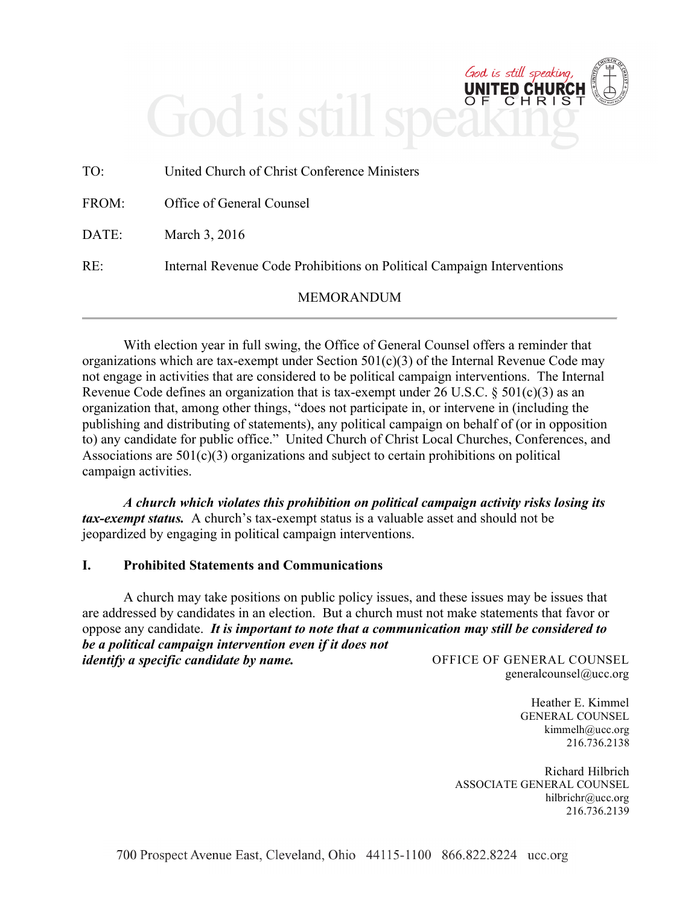## God is still s ŌË

| TO:   | United Church of Christ Conference Ministers                           |
|-------|------------------------------------------------------------------------|
| FROM: | Office of General Counsel                                              |
| DATE: | March 3, 2016                                                          |
| RE:   | Internal Revenue Code Prohibitions on Political Campaign Interventions |
|       | <b>MEMORANDUM</b>                                                      |

With election year in full swing, the Office of General Counsel offers a reminder that organizations which are tax-exempt under Section 501(c)(3) of the Internal Revenue Code may not engage in activities that are considered to be political campaign interventions. The Internal Revenue Code defines an organization that is tax-exempt under 26 U.S.C. § 501(c)(3) as an organization that, among other things, "does not participate in, or intervene in (including the publishing and distributing of statements), any political campaign on behalf of (or in opposition to) any candidate for public office." United Church of Christ Local Churches, Conferences, and Associations are  $501(c)(3)$  organizations and subject to certain prohibitions on political campaign activities.

*A church which violates this prohibition on political campaign activity risks losing its tax-exempt status.* A church's tax-exempt status is a valuable asset and should not be jeopardized by engaging in political campaign interventions.

## **I. Prohibited Statements and Communications**

OFFICE OF GENERAL COUNSEL A church may take positions on public policy issues, and these issues may be issues that are addressed by candidates in an election. But a church must not make statements that favor or oppose any candidate. *It is important to note that a communication may still be considered to be a political campaign intervention even if it does not identify a specific candidate by name.*

generalcounsel@ucc.org

God is still speaking **CH** 

> Heather E. Kimmel GENERAL COUNSEL kimmelh@ucc.org 216.736.2138

Richard Hilbrich ASSOCIATE GENERAL COUNSEL hilbrichr@ucc.org 216.736.2139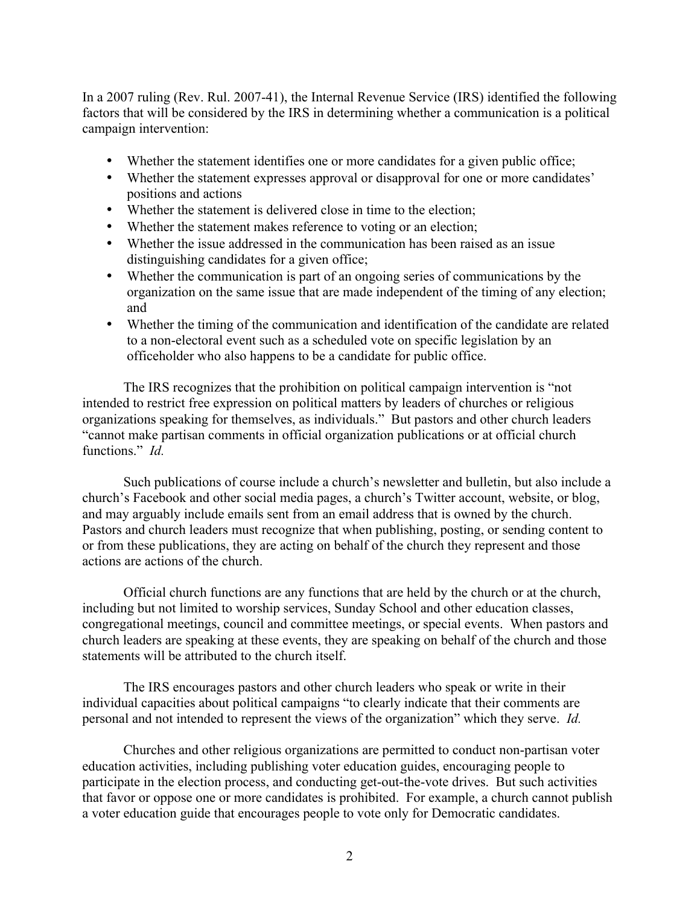In a 2007 ruling (Rev. Rul. 2007-41), the Internal Revenue Service (IRS) identified the following factors that will be considered by the IRS in determining whether a communication is a political campaign intervention:

- Whether the statement identifies one or more candidates for a given public office;
- Whether the statement expresses approval or disapproval for one or more candidates' positions and actions
- Whether the statement is delivered close in time to the election;
- Whether the statement makes reference to voting or an election;
- Whether the issue addressed in the communication has been raised as an issue distinguishing candidates for a given office;
- Whether the communication is part of an ongoing series of communications by the organization on the same issue that are made independent of the timing of any election; and
- Whether the timing of the communication and identification of the candidate are related to a non-electoral event such as a scheduled vote on specific legislation by an officeholder who also happens to be a candidate for public office.

The IRS recognizes that the prohibition on political campaign intervention is "not intended to restrict free expression on political matters by leaders of churches or religious organizations speaking for themselves, as individuals." But pastors and other church leaders "cannot make partisan comments in official organization publications or at official church functions." *Id.* 

Such publications of course include a church's newsletter and bulletin, but also include a church's Facebook and other social media pages, a church's Twitter account, website, or blog, and may arguably include emails sent from an email address that is owned by the church. Pastors and church leaders must recognize that when publishing, posting, or sending content to or from these publications, they are acting on behalf of the church they represent and those actions are actions of the church.

Official church functions are any functions that are held by the church or at the church, including but not limited to worship services, Sunday School and other education classes, congregational meetings, council and committee meetings, or special events. When pastors and church leaders are speaking at these events, they are speaking on behalf of the church and those statements will be attributed to the church itself.

The IRS encourages pastors and other church leaders who speak or write in their individual capacities about political campaigns "to clearly indicate that their comments are personal and not intended to represent the views of the organization" which they serve. *Id.*

Churches and other religious organizations are permitted to conduct non-partisan voter education activities, including publishing voter education guides, encouraging people to participate in the election process, and conducting get-out-the-vote drives. But such activities that favor or oppose one or more candidates is prohibited. For example, a church cannot publish a voter education guide that encourages people to vote only for Democratic candidates.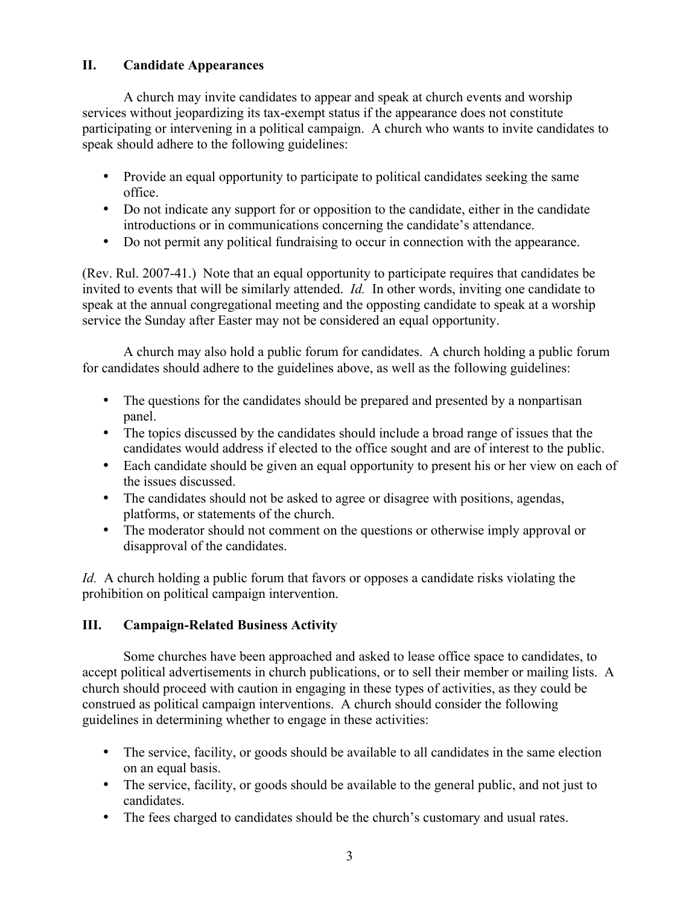## **II. Candidate Appearances**

A church may invite candidates to appear and speak at church events and worship services without jeopardizing its tax-exempt status if the appearance does not constitute participating or intervening in a political campaign. A church who wants to invite candidates to speak should adhere to the following guidelines:

- Provide an equal opportunity to participate to political candidates seeking the same office.
- Do not indicate any support for or opposition to the candidate, either in the candidate introductions or in communications concerning the candidate's attendance.
- Do not permit any political fundraising to occur in connection with the appearance.

(Rev. Rul. 2007-41.) Note that an equal opportunity to participate requires that candidates be invited to events that will be similarly attended. *Id.* In other words, inviting one candidate to speak at the annual congregational meeting and the opposting candidate to speak at a worship service the Sunday after Easter may not be considered an equal opportunity.

A church may also hold a public forum for candidates. A church holding a public forum for candidates should adhere to the guidelines above, as well as the following guidelines:

- The questions for the candidates should be prepared and presented by a nonpartisan panel.
- The topics discussed by the candidates should include a broad range of issues that the candidates would address if elected to the office sought and are of interest to the public.
- Each candidate should be given an equal opportunity to present his or her view on each of the issues discussed.
- The candidates should not be asked to agree or disagree with positions, agendas, platforms, or statements of the church.
- The moderator should not comment on the questions or otherwise imply approval or disapproval of the candidates.

*Id.* A church holding a public forum that favors or opposes a candidate risks violating the prohibition on political campaign intervention.

## **III. Campaign-Related Business Activity**

Some churches have been approached and asked to lease office space to candidates, to accept political advertisements in church publications, or to sell their member or mailing lists. A church should proceed with caution in engaging in these types of activities, as they could be construed as political campaign interventions. A church should consider the following guidelines in determining whether to engage in these activities:

- The service, facility, or goods should be available to all candidates in the same election on an equal basis.
- The service, facility, or goods should be available to the general public, and not just to candidates.
- The fees charged to candidates should be the church's customary and usual rates.